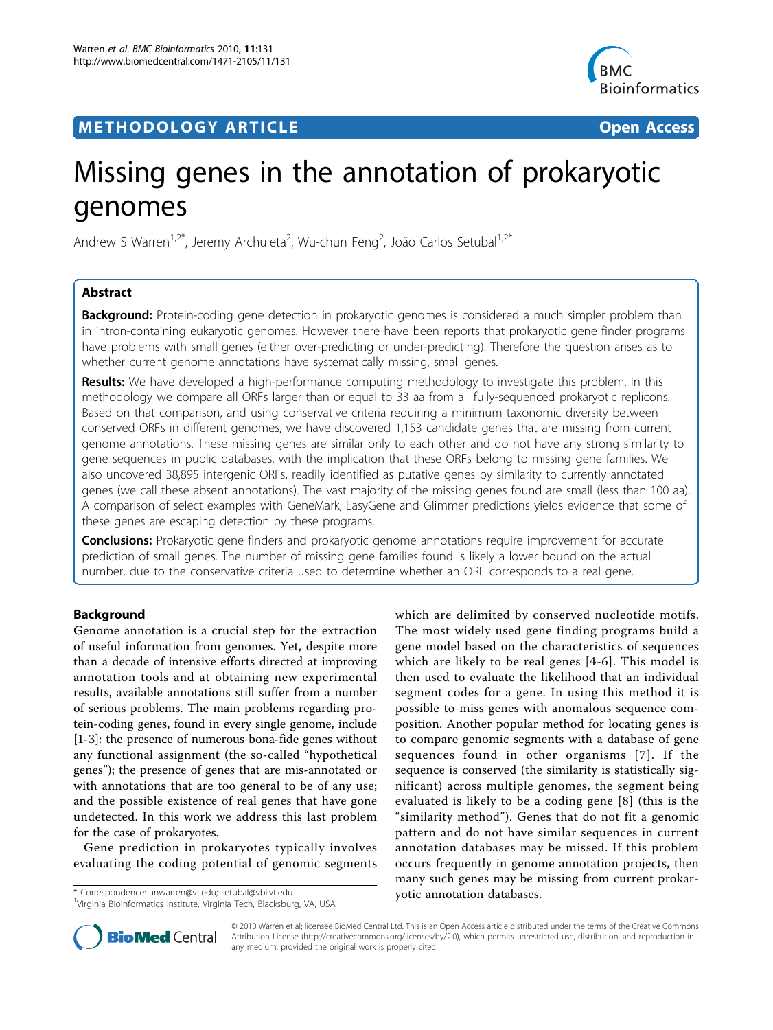## **METHODOLOGY ARTICLE Example 20 and 20 and 20 and 20 and 20 and 20 and 20 and 20 and 20 and 20 and 20 and 20 and 20 and 20 and 20 and 20 and 20 and 20 and 20 and 20 and 20 and 20 and 20 and 20 and 20 and 20 and 20 and 20**



# Missing genes in the annotation of prokaryotic genomes

Andrew S Warren<sup>1,2\*</sup>, Jeremy Archuleta<sup>2</sup>, Wu-chun Feng<sup>2</sup>, João Carlos Setubal<sup>1,2\*</sup>

## Abstract

**Background:** Protein-coding gene detection in prokaryotic genomes is considered a much simpler problem than in intron-containing eukaryotic genomes. However there have been reports that prokaryotic gene finder programs have problems with small genes (either over-predicting or under-predicting). Therefore the question arises as to whether current genome annotations have systematically missing, small genes.

Results: We have developed a high-performance computing methodology to investigate this problem. In this methodology we compare all ORFs larger than or equal to 33 aa from all fully-sequenced prokaryotic replicons. Based on that comparison, and using conservative criteria requiring a minimum taxonomic diversity between conserved ORFs in different genomes, we have discovered 1,153 candidate genes that are missing from current genome annotations. These missing genes are similar only to each other and do not have any strong similarity to gene sequences in public databases, with the implication that these ORFs belong to missing gene families. We also uncovered 38,895 intergenic ORFs, readily identified as putative genes by similarity to currently annotated genes (we call these absent annotations). The vast majority of the missing genes found are small (less than 100 aa). A comparison of select examples with GeneMark, EasyGene and Glimmer predictions yields evidence that some of these genes are escaping detection by these programs.

Conclusions: Prokaryotic gene finders and prokaryotic genome annotations require improvement for accurate prediction of small genes. The number of missing gene families found is likely a lower bound on the actual number, due to the conservative criteria used to determine whether an ORF corresponds to a real gene.

## Background

Genome annotation is a crucial step for the extraction of useful information from genomes. Yet, despite more than a decade of intensive efforts directed at improving annotation tools and at obtaining new experimental results, available annotations still suffer from a number of serious problems. The main problems regarding protein-coding genes, found in every single genome, include [[1-3](#page-10-0)]: the presence of numerous bona-fide genes without any functional assignment (the so-called "hypothetical genes"); the presence of genes that are mis-annotated or with annotations that are too general to be of any use; and the possible existence of real genes that have gone undetected. In this work we address this last problem for the case of prokaryotes.

Gene prediction in prokaryotes typically involves evaluating the coding potential of genomic segments

\* Correspondence: [anwarren@vt.edu;](mailto:anwarren@vt.edu) [setubal@vbi.vt.edu](mailto:setubal@vbi.vt.edu) version version version databases.

which are delimited by conserved nucleotide motifs. The most widely used gene finding programs build a gene model based on the characteristics of sequences which are likely to be real genes [[4-6\]](#page-10-0). This model is then used to evaluate the likelihood that an individual segment codes for a gene. In using this method it is possible to miss genes with anomalous sequence composition. Another popular method for locating genes is to compare genomic segments with a database of gene sequences found in other organisms [[7](#page-10-0)]. If the sequence is conserved (the similarity is statistically significant) across multiple genomes, the segment being evaluated is likely to be a coding gene [[8\]](#page-10-0) (this is the "similarity method"). Genes that do not fit a genomic pattern and do not have similar sequences in current annotation databases may be missed. If this problem occurs frequently in genome annotation projects, then many such genes may be missing from current prokar-



© 2010 Warren et al; licensee BioMed Central Ltd. This is an Open Access article distributed under the terms of the Creative Commons Attribution License [\(http://creativecommons.org/licenses/by/2.0](http://creativecommons.org/licenses/by/2.0)), which permits unrestricted use, distribution, and reproduction in any medium, provided the original work is properly cited.

<sup>&</sup>lt;sup>1</sup>Virginia Bioinformatics Institute, Virginia Tech, Blacksburg, VA, USA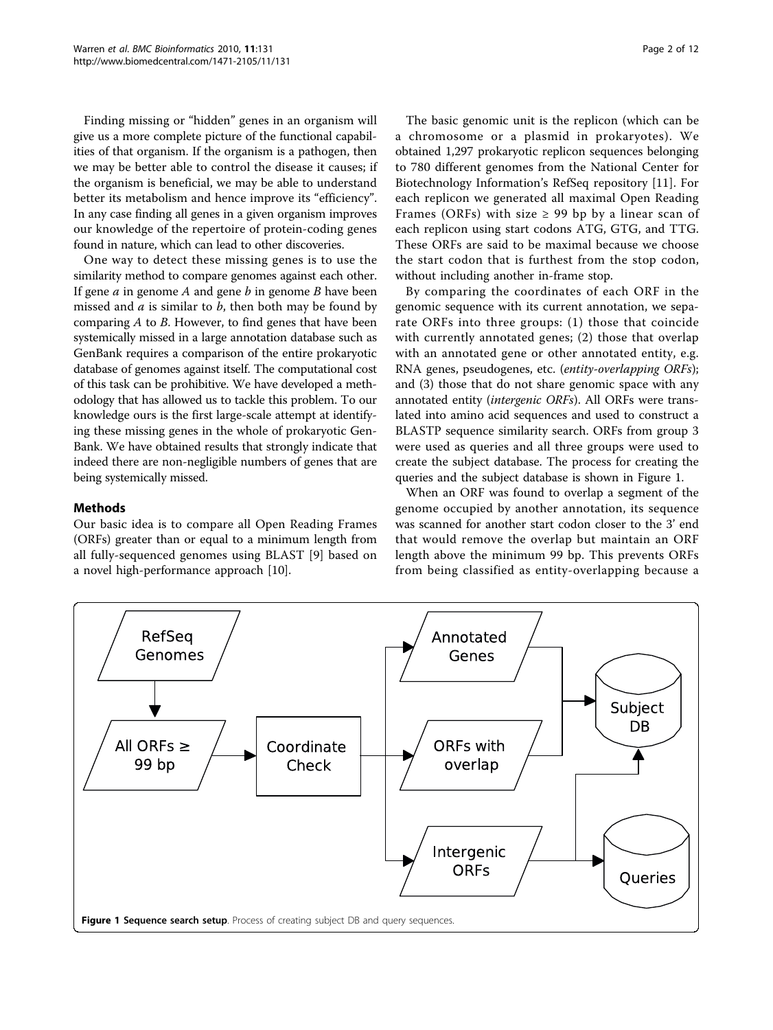Finding missing or "hidden" genes in an organism will give us a more complete picture of the functional capabilities of that organism. If the organism is a pathogen, then we may be better able to control the disease it causes; if the organism is beneficial, we may be able to understand better its metabolism and hence improve its "efficiency". In any case finding all genes in a given organism improves our knowledge of the repertoire of protein-coding genes found in nature, which can lead to other discoveries.

One way to detect these missing genes is to use the similarity method to compare genomes against each other. If gene  $a$  in genome  $A$  and gene  $b$  in genome  $B$  have been missed and  $a$  is similar to  $b$ , then both may be found by comparing A to B. However, to find genes that have been systemically missed in a large annotation database such as GenBank requires a comparison of the entire prokaryotic database of genomes against itself. The computational cost of this task can be prohibitive. We have developed a methodology that has allowed us to tackle this problem. To our knowledge ours is the first large-scale attempt at identifying these missing genes in the whole of prokaryotic Gen-Bank. We have obtained results that strongly indicate that indeed there are non-negligible numbers of genes that are being systemically missed.

## Methods

Our basic idea is to compare all Open Reading Frames (ORFs) greater than or equal to a minimum length from all fully-sequenced genomes using BLAST [\[9](#page-10-0)] based on a novel high-performance approach [\[10](#page-10-0)].

The basic genomic unit is the replicon (which can be a chromosome or a plasmid in prokaryotes). We obtained 1,297 prokaryotic replicon sequences belonging to 780 different genomes from the National Center for Biotechnology Information's RefSeq repository [[11\]](#page-10-0). For each replicon we generated all maximal Open Reading Frames (ORFs) with size  $\geq$  99 bp by a linear scan of each replicon using start codons ATG, GTG, and TTG. These ORFs are said to be maximal because we choose the start codon that is furthest from the stop codon, without including another in-frame stop.

By comparing the coordinates of each ORF in the genomic sequence with its current annotation, we separate ORFs into three groups: (1) those that coincide with currently annotated genes; (2) those that overlap with an annotated gene or other annotated entity, e.g. RNA genes, pseudogenes, etc. (entity-overlapping ORFs); and (3) those that do not share genomic space with any annotated entity (intergenic ORFs). All ORFs were translated into amino acid sequences and used to construct a BLASTP sequence similarity search. ORFs from group 3 were used as queries and all three groups were used to create the subject database. The process for creating the queries and the subject database is shown in Figure 1.

When an ORF was found to overlap a segment of the genome occupied by another annotation, its sequence was scanned for another start codon closer to the 3' end that would remove the overlap but maintain an ORF length above the minimum 99 bp. This prevents ORFs from being classified as entity-overlapping because a

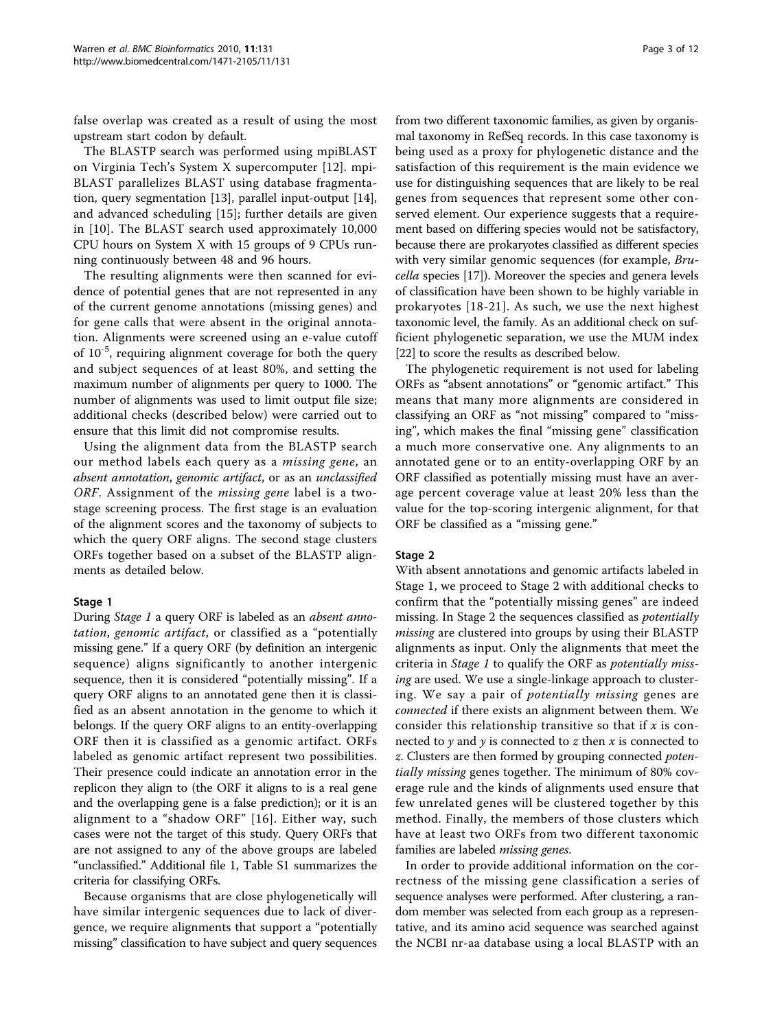false overlap was created as a result of using the most upstream start codon by default.

The BLASTP search was performed using mpiBLAST on Virginia Tech's System X supercomputer [[12\]](#page-10-0). mpi-BLAST parallelizes BLAST using database fragmentation, query segmentation [\[13](#page-10-0)], parallel input-output [\[14](#page-10-0)], and advanced scheduling [[15\]](#page-10-0); further details are given in [[10](#page-10-0)]. The BLAST search used approximately 10,000 CPU hours on System X with 15 groups of 9 CPUs running continuously between 48 and 96 hours.

The resulting alignments were then scanned for evidence of potential genes that are not represented in any of the current genome annotations (missing genes) and for gene calls that were absent in the original annotation. Alignments were screened using an e-value cutoff of  $10^{-5}$ , requiring alignment coverage for both the query and subject sequences of at least 80%, and setting the maximum number of alignments per query to 1000. The number of alignments was used to limit output file size; additional checks (described below) were carried out to ensure that this limit did not compromise results.

Using the alignment data from the BLASTP search our method labels each query as a missing gene, an absent annotation, genomic artifact, or as an unclassified ORF. Assignment of the missing gene label is a twostage screening process. The first stage is an evaluation of the alignment scores and the taxonomy of subjects to which the query ORF aligns. The second stage clusters ORFs together based on a subset of the BLASTP alignments as detailed below.

### Stage 1

During Stage 1 a query ORF is labeled as an absent annotation, genomic artifact, or classified as a "potentially missing gene." If a query ORF (by definition an intergenic sequence) aligns significantly to another intergenic sequence, then it is considered "potentially missing". If a query ORF aligns to an annotated gene then it is classified as an absent annotation in the genome to which it belongs. If the query ORF aligns to an entity-overlapping ORF then it is classified as a genomic artifact. ORFs labeled as genomic artifact represent two possibilities. Their presence could indicate an annotation error in the replicon they align to (the ORF it aligns to is a real gene and the overlapping gene is a false prediction); or it is an alignment to a "shadow ORF" [[16\]](#page-10-0). Either way, such cases were not the target of this study. Query ORFs that are not assigned to any of the above groups are labeled "unclassified." Additional file [1,](#page-10-0) Table S1 summarizes the criteria for classifying ORFs.

Because organisms that are close phylogenetically will have similar intergenic sequences due to lack of divergence, we require alignments that support a "potentially missing" classification to have subject and query sequences

from two different taxonomic families, as given by organismal taxonomy in RefSeq records. In this case taxonomy is being used as a proxy for phylogenetic distance and the satisfaction of this requirement is the main evidence we use for distinguishing sequences that are likely to be real genes from sequences that represent some other conserved element. Our experience suggests that a requirement based on differing species would not be satisfactory, because there are prokaryotes classified as different species with very similar genomic sequences (for example, Brucella species [\[17\]](#page-11-0)). Moreover the species and genera levels of classification have been shown to be highly variable in prokaryotes [\[18-21](#page-11-0)]. As such, we use the next highest taxonomic level, the family. As an additional check on sufficient phylogenetic separation, we use the MUM index [[22](#page-11-0)] to score the results as described below.

The phylogenetic requirement is not used for labeling ORFs as "absent annotations" or "genomic artifact." This means that many more alignments are considered in classifying an ORF as "not missing" compared to "missing", which makes the final "missing gene" classification a much more conservative one. Any alignments to an annotated gene or to an entity-overlapping ORF by an ORF classified as potentially missing must have an average percent coverage value at least 20% less than the value for the top-scoring intergenic alignment, for that ORF be classified as a "missing gene."

### Stage 2

With absent annotations and genomic artifacts labeled in Stage 1, we proceed to Stage 2 with additional checks to confirm that the "potentially missing genes" are indeed missing. In Stage 2 the sequences classified as potentially missing are clustered into groups by using their BLASTP alignments as input. Only the alignments that meet the criteria in Stage 1 to qualify the ORF as potentially missing are used. We use a single-linkage approach to clustering. We say a pair of potentially missing genes are connected if there exists an alignment between them. We consider this relationship transitive so that if  $x$  is connected to  $y$  and  $y$  is connected to  $z$  then  $x$  is connected to z. Clusters are then formed by grouping connected potentially missing genes together. The minimum of 80% coverage rule and the kinds of alignments used ensure that few unrelated genes will be clustered together by this method. Finally, the members of those clusters which have at least two ORFs from two different taxonomic families are labeled missing genes.

In order to provide additional information on the correctness of the missing gene classification a series of sequence analyses were performed. After clustering, a random member was selected from each group as a representative, and its amino acid sequence was searched against the NCBI nr-aa database using a local BLASTP with an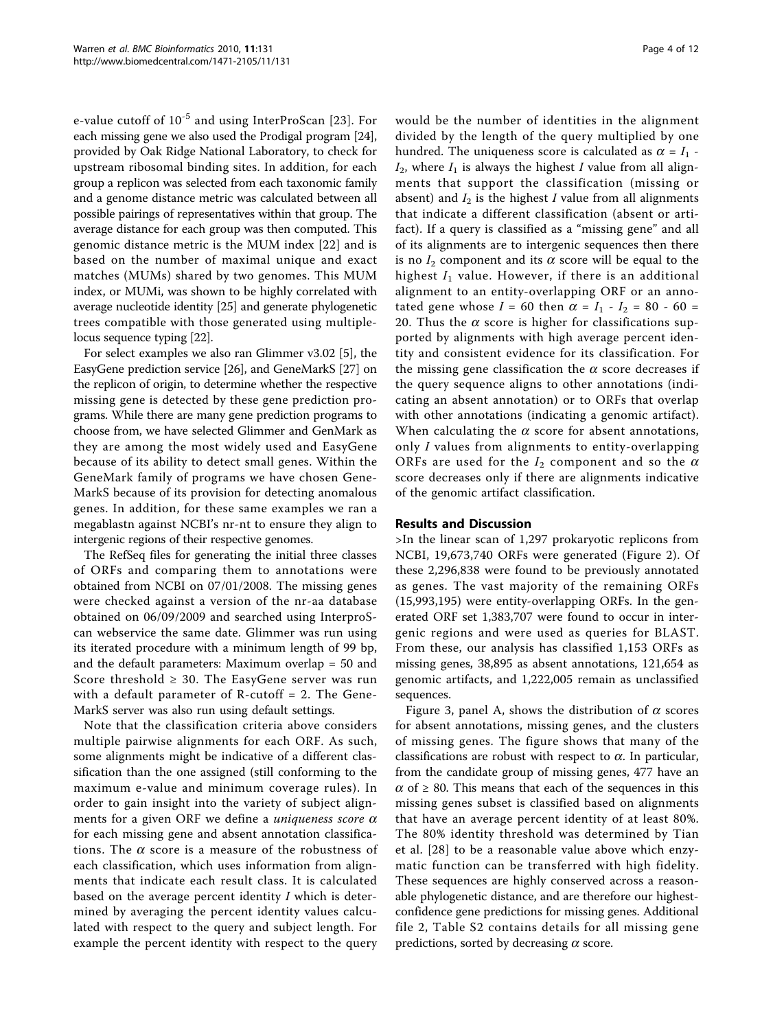e-value cutoff of 10-5 and using InterProScan [[23](#page-11-0)]. For each missing gene we also used the Prodigal program [[24](#page-11-0)], provided by Oak Ridge National Laboratory, to check for upstream ribosomal binding sites. In addition, for each group a replicon was selected from each taxonomic family and a genome distance metric was calculated between all possible pairings of representatives within that group. The average distance for each group was then computed. This genomic distance metric is the MUM index [[22](#page-11-0)] and is based on the number of maximal unique and exact matches (MUMs) shared by two genomes. This MUM index, or MUMi, was shown to be highly correlated with average nucleotide identity [\[25\]](#page-11-0) and generate phylogenetic trees compatible with those generated using multiplelocus sequence typing [[22](#page-11-0)].

For select examples we also ran Glimmer v3.02 [\[5](#page-10-0)], the EasyGene prediction service [\[26](#page-11-0)], and GeneMarkS [[27](#page-11-0)] on the replicon of origin, to determine whether the respective missing gene is detected by these gene prediction programs. While there are many gene prediction programs to choose from, we have selected Glimmer and GenMark as they are among the most widely used and EasyGene because of its ability to detect small genes. Within the GeneMark family of programs we have chosen Gene-MarkS because of its provision for detecting anomalous genes. In addition, for these same examples we ran a megablastn against NCBI's nr-nt to ensure they align to intergenic regions of their respective genomes.

The RefSeq files for generating the initial three classes of ORFs and comparing them to annotations were obtained from NCBI on 07/01/2008. The missing genes were checked against a version of the nr-aa database obtained on 06/09/2009 and searched using InterproScan webservice the same date. Glimmer was run using its iterated procedure with a minimum length of 99 bp, and the default parameters: Maximum overlap = 50 and Score threshold  $\geq$  30. The EasyGene server was run with a default parameter of  $R$ -cutoff = 2. The Gene-MarkS server was also run using default settings.

Note that the classification criteria above considers multiple pairwise alignments for each ORF. As such, some alignments might be indicative of a different classification than the one assigned (still conforming to the maximum e-value and minimum coverage rules). In order to gain insight into the variety of subject alignments for a given ORF we define a *uniqueness score*  $\alpha$ for each missing gene and absent annotation classifications. The  $\alpha$  score is a measure of the robustness of each classification, which uses information from alignments that indicate each result class. It is calculated based on the average percent identity  $I$  which is determined by averaging the percent identity values calculated with respect to the query and subject length. For example the percent identity with respect to the query would be the number of identities in the alignment divided by the length of the query multiplied by one hundred. The uniqueness score is calculated as  $\alpha = I_1$  - $I_2$ , where  $I_1$  is always the highest I value from all alignments that support the classification (missing or absent) and  $I_2$  is the highest I value from all alignments that indicate a different classification (absent or artifact). If a query is classified as a "missing gene" and all of its alignments are to intergenic sequences then there is no  $I_2$  component and its  $\alpha$  score will be equal to the highest  $I_1$  value. However, if there is an additional alignment to an entity-overlapping ORF or an annotated gene whose  $I = 60$  then  $\alpha = I_1 - I_2 = 80 - 60 =$ 20. Thus the  $\alpha$  score is higher for classifications supported by alignments with high average percent identity and consistent evidence for its classification. For the missing gene classification the  $\alpha$  score decreases if the query sequence aligns to other annotations (indicating an absent annotation) or to ORFs that overlap with other annotations (indicating a genomic artifact). When calculating the  $\alpha$  score for absent annotations, only I values from alignments to entity-overlapping ORFs are used for the  $I_2$  component and so the  $\alpha$ score decreases only if there are alignments indicative of the genomic artifact classification.

### Results and Discussion

>In the linear scan of 1,297 prokaryotic replicons from NCBI, 19,673,740 ORFs were generated (Figure [2\)](#page-4-0). Of these 2,296,838 were found to be previously annotated as genes. The vast majority of the remaining ORFs (15,993,195) were entity-overlapping ORFs. In the generated ORF set 1,383,707 were found to occur in intergenic regions and were used as queries for BLAST. From these, our analysis has classified 1,153 ORFs as missing genes, 38,895 as absent annotations, 121,654 as genomic artifacts, and 1,222,005 remain as unclassified sequences.

Figure [3,](#page-5-0) panel A, shows the distribution of  $\alpha$  scores for absent annotations, missing genes, and the clusters of missing genes. The figure shows that many of the classifications are robust with respect to  $\alpha$ . In particular, from the candidate group of missing genes, 477 have an  $\alpha$  of  $\geq$  80. This means that each of the sequences in this missing genes subset is classified based on alignments that have an average percent identity of at least 80%. The 80% identity threshold was determined by Tian et al. [[28](#page-11-0)] to be a reasonable value above which enzymatic function can be transferred with high fidelity. These sequences are highly conserved across a reasonable phylogenetic distance, and are therefore our highestconfidence gene predictions for missing genes. Additional file [2,](#page-10-0) Table S2 contains details for all missing gene predictions, sorted by decreasing  $\alpha$  score.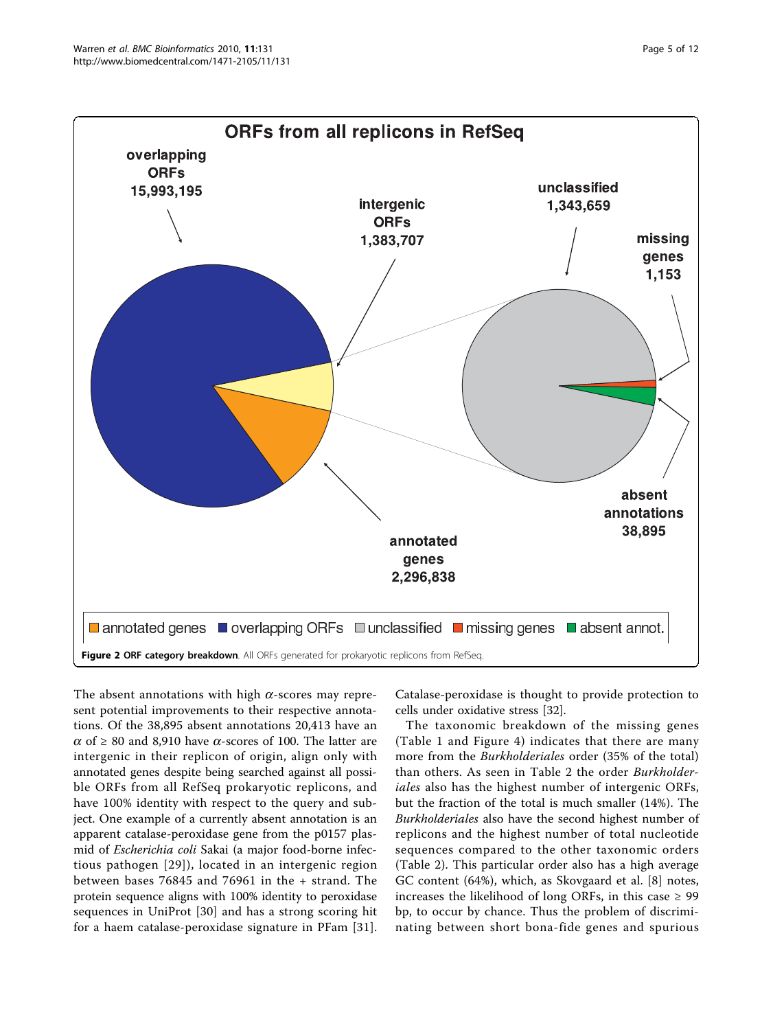<span id="page-4-0"></span>

The absent annotations with high  $\alpha$ -scores may represent potential improvements to their respective annotations. Of the 38,895 absent annotations 20,413 have an  $\alpha$  of  $\geq$  80 and 8,910 have  $\alpha$ -scores of 100. The latter are intergenic in their replicon of origin, align only with annotated genes despite being searched against all possible ORFs from all RefSeq prokaryotic replicons, and have 100% identity with respect to the query and subject. One example of a currently absent annotation is an apparent catalase-peroxidase gene from the p0157 plasmid of Escherichia coli Sakai (a major food-borne infectious pathogen [[29](#page-11-0)]), located in an intergenic region between bases 76845 and 76961 in the + strand. The protein sequence aligns with 100% identity to peroxidase sequences in UniProt [\[30](#page-11-0)] and has a strong scoring hit for a haem catalase-peroxidase signature in PFam [[31](#page-11-0)].

Catalase-peroxidase is thought to provide protection to cells under oxidative stress [\[32](#page-11-0)].

The taxonomic breakdown of the missing genes (Table [1](#page-5-0) and Figure [4](#page-6-0)) indicates that there are many more from the Burkholderiales order (35% of the total) than others. As seen in Table [2](#page-6-0) the order Burkholderiales also has the highest number of intergenic ORFs, but the fraction of the total is much smaller (14%). The Burkholderiales also have the second highest number of replicons and the highest number of total nucleotide sequences compared to the other taxonomic orders (Table [2\)](#page-6-0). This particular order also has a high average GC content (64%), which, as Skovgaard et al. [\[8](#page-10-0)] notes, increases the likelihood of long ORFs, in this case  $\geq$  99 bp, to occur by chance. Thus the problem of discriminating between short bona-fide genes and spurious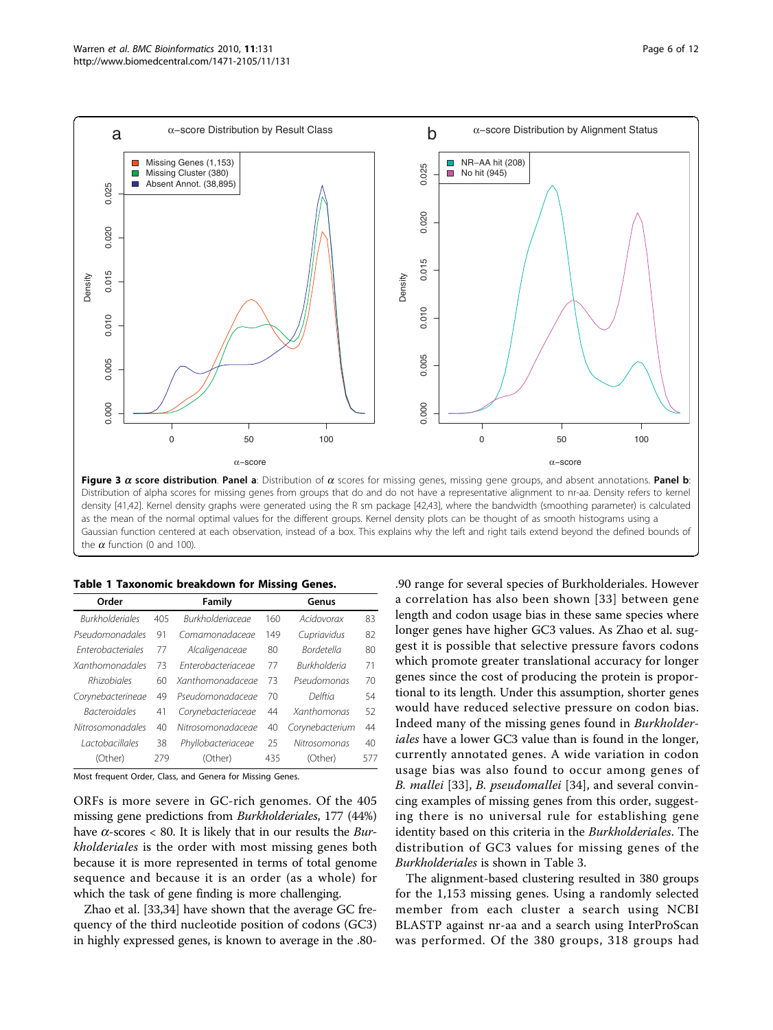<span id="page-5-0"></span>

as the mean of the normal optimal values for the different groups. Kernel density plots can be thought of as smooth histograms using a Gaussian function centered at each observation, instead of a box. This explains why the left and right tails extend beyond the defined bounds of the  $\alpha$  function (0 and 100).

|  |  |  | Table 1 Taxonomic breakdown for Missing Genes. |  |  |  |
|--|--|--|------------------------------------------------|--|--|--|
|--|--|--|------------------------------------------------|--|--|--|

| Order                           |     | Family                  |     | Genus               |     |
|---------------------------------|-----|-------------------------|-----|---------------------|-----|
| <b>Burkholderiales</b>          | 405 | <b>Burkholderiaceae</b> | 160 | Acidovorax          | 83  |
| Pseudomonadales                 | 91  | Comamonadaceae          | 149 | Cupriavidus         | 82  |
| <b><i>Enterobacteriales</i></b> | 77  | Alcaligenaceae          | 80  | <b>Bordetella</b>   | 80  |
| <b>Xanthomonadales</b>          | 73  | Enterobacteriaceae      | 77  | <b>Burkholderia</b> | 71  |
| <b>Rhizobiales</b>              | 60  | Xanthomonadaceae        | 73  | Pseudomonas         | 70  |
| Corynebacterineae               | 49  | Pseudomonadaceae        | 70  | Delftia             | 54  |
| <b>Bacteroidales</b>            | 41  | Corynebacteriaceae      | 44  | Xanthomonas         | 52  |
| <b>Nitrosomonadales</b>         | 40  | Nitrosomonadaceae       | 40  | Corynebacterium     | 44  |
| Lactobacillales                 | 38  | Phyllobacteriaceae      | 25  | Nitrosomonas        | 40  |
| (Other)                         | 279 | (Other)                 | 435 | (Other)             | 577 |

Most frequent Order, Class, and Genera for Missing Genes.

ORFs is more severe in GC-rich genomes. Of the 405 missing gene predictions from Burkholderiales, 177 (44%) have  $\alpha$ -scores < 80. It is likely that in our results the *Bur*kholderiales is the order with most missing genes both because it is more represented in terms of total genome sequence and because it is an order (as a whole) for which the task of gene finding is more challenging.

Zhao et al. [[33](#page-11-0),[34](#page-11-0)] have shown that the average GC frequency of the third nucleotide position of codons (GC3) in highly expressed genes, is known to average in the .80-

.90 range for several species of Burkholderiales. However a correlation has also been shown [[33](#page-11-0)] between gene length and codon usage bias in these same species where longer genes have higher GC3 values. As Zhao et al. suggest it is possible that selective pressure favors codons which promote greater translational accuracy for longer genes since the cost of producing the protein is proportional to its length. Under this assumption, shorter genes would have reduced selective pressure on codon bias. Indeed many of the missing genes found in Burkholderiales have a lower GC3 value than is found in the longer, currently annotated genes. A wide variation in codon usage bias was also found to occur among genes of B. mallei [\[33](#page-11-0)], B. pseudomallei [[34\]](#page-11-0), and several convincing examples of missing genes from this order, suggesting there is no universal rule for establishing gene identity based on this criteria in the Burkholderiales. The distribution of GC3 values for missing genes of the Burkholderiales is shown in Table [3.](#page-7-0)

The alignment-based clustering resulted in 380 groups for the 1,153 missing genes. Using a randomly selected member from each cluster a search using NCBI BLASTP against nr-aa and a search using InterProScan was performed. Of the 380 groups, 318 groups had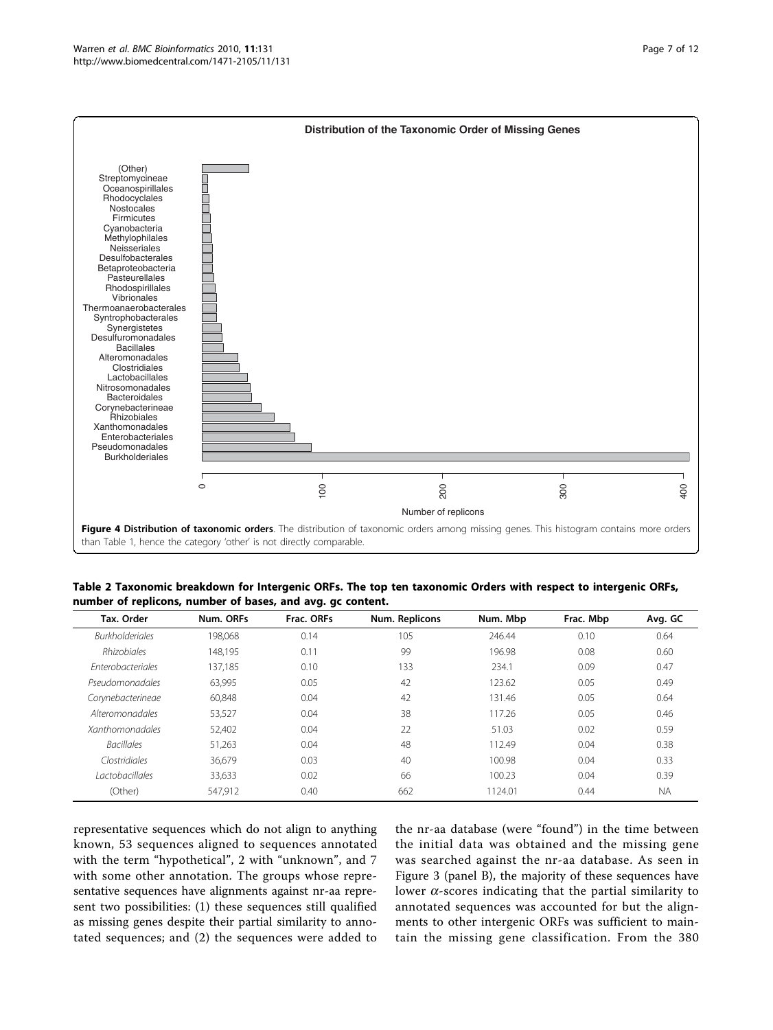<span id="page-6-0"></span>

| Table 2 Taxonomic breakdown for Intergenic ORFs. The top ten taxonomic Orders with respect to intergenic ORFs, |  |  |
|----------------------------------------------------------------------------------------------------------------|--|--|
| number of replicons, number of bases, and avg. gc content.                                                     |  |  |

| Tax. Order               | Num. ORFs | Frac. ORFs | Num. Replicons | Num. Mbp | Frac. Mbp | Avg. GC   |
|--------------------------|-----------|------------|----------------|----------|-----------|-----------|
| <b>Burkholderiales</b>   | 198.068   | 0.14       | 105            | 246.44   | 0.10      | 0.64      |
| <b>Rhizobiales</b>       | 148.195   | 0.11       | 99             | 196.98   | 0.08      | 0.60      |
| <b>Enterobacteriales</b> | 137.185   | 0.10       | 133            | 234.1    | 0.09      | 0.47      |
| Pseudomonadales          | 63.995    | 0.05       | 42             | 123.62   | 0.05      | 0.49      |
| Corynebacterineae        | 60.848    | 0.04       | 42             | 131.46   | 0.05      | 0.64      |
| Alteromonadales          | 53.527    | 0.04       | 38             | 117.26   | 0.05      | 0.46      |
| <b>Xanthomonadales</b>   | 52.402    | 0.04       | 22             | 51.03    | 0.02      | 0.59      |
| <b>Bacillales</b>        | 51.263    | 0.04       | 48             | 112.49   | 0.04      | 0.38      |
| Clostridiales            | 36.679    | 0.03       | 40             | 100.98   | 0.04      | 0.33      |
| <i>Lactobacillales</i>   | 33.633    | 0.02       | 66             | 100.23   | 0.04      | 0.39      |
| (Other)                  | 547.912   | 0.40       | 662            | 1124.01  | 0.44      | <b>NA</b> |

representative sequences which do not align to anything known, 53 sequences aligned to sequences annotated with the term "hypothetical", 2 with "unknown", and 7 with some other annotation. The groups whose representative sequences have alignments against nr-aa represent two possibilities: (1) these sequences still qualified as missing genes despite their partial similarity to annotated sequences; and (2) the sequences were added to

the nr-aa database (were "found") in the time between the initial data was obtained and the missing gene was searched against the nr-aa database. As seen in Figure [3](#page-5-0) (panel B), the majority of these sequences have lower  $\alpha$ -scores indicating that the partial similarity to annotated sequences was accounted for but the alignments to other intergenic ORFs was sufficient to maintain the missing gene classification. From the 380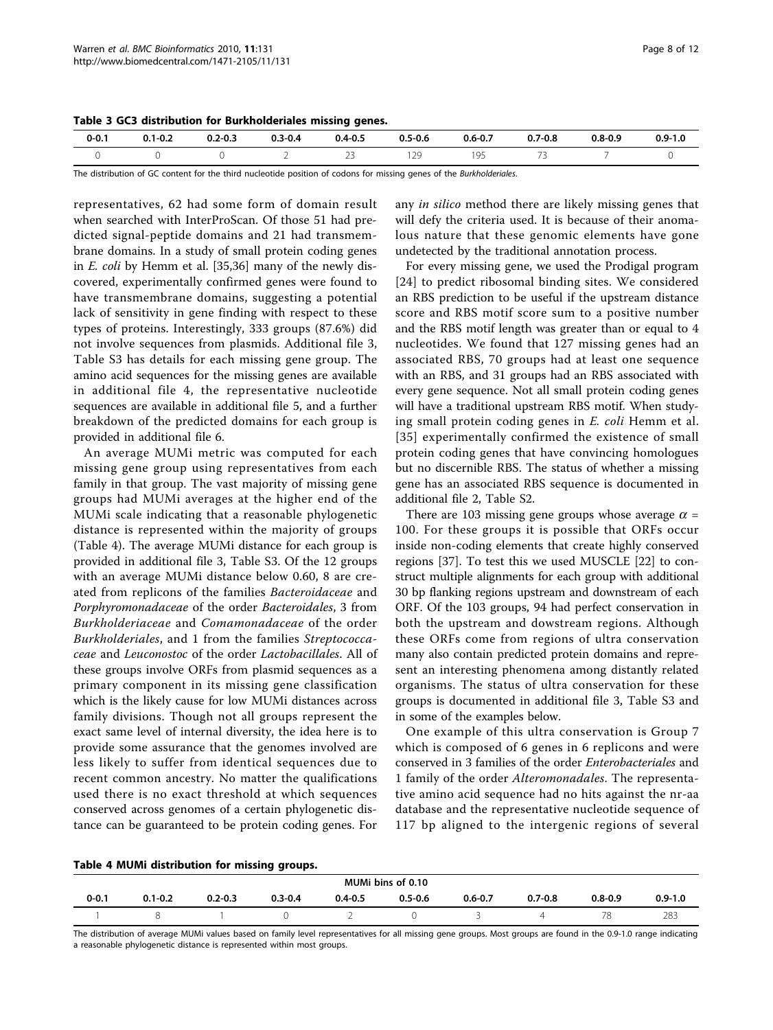<span id="page-7-0"></span>

| $0 - 0.1$ | .1-0.2 | $0.2 - 0.3$<br>--- --- | $0.3 - 0.4$ | $0.4 - 0.5$<br>.   | $0.5 - 0.6$   | $0.6 - 0.7$ | $0.7 - 0.8$<br>. | $0.8 - 0.9$ | $0.9 - 1.0$ |
|-----------|--------|------------------------|-------------|--------------------|---------------|-------------|------------------|-------------|-------------|
|           |        |                        |             | $\sim$ $\sim$<br>ب | הר ו<br>1 2 J | 1 Q 5<br>.  |                  |             |             |

The distribution of GC content for the third nucleotide position of codons for missing genes of the Burkholderiales.

representatives, 62 had some form of domain result when searched with InterProScan. Of those 51 had predicted signal-peptide domains and 21 had transmembrane domains. In a study of small protein coding genes in E. coli by Hemm et al. [\[35,36\]](#page-11-0) many of the newly discovered, experimentally confirmed genes were found to have transmembrane domains, suggesting a potential lack of sensitivity in gene finding with respect to these types of proteins. Interestingly, 333 groups (87.6%) did not involve sequences from plasmids. Additional file [3](#page-10-0), Table S3 has details for each missing gene group. The amino acid sequences for the missing genes are available in additional file [4,](#page-10-0) the representative nucleotide sequences are available in additional file [5,](#page-10-0) and a further breakdown of the predicted domains for each group is provided in additional file [6.](#page-10-0)

An average MUMi metric was computed for each missing gene group using representatives from each family in that group. The vast majority of missing gene groups had MUMi averages at the higher end of the MUMi scale indicating that a reasonable phylogenetic distance is represented within the majority of groups (Table 4). The average MUMi distance for each group is provided in additional file [3](#page-10-0), Table S3. Of the 12 groups with an average MUMi distance below 0.60, 8 are created from replicons of the families Bacteroidaceae and Porphyromonadaceae of the order Bacteroidales, 3 from Burkholderiaceae and Comamonadaceae of the order Burkholderiales, and 1 from the families Streptococcaceae and Leuconostoc of the order Lactobacillales. All of these groups involve ORFs from plasmid sequences as a primary component in its missing gene classification which is the likely cause for low MUMi distances across family divisions. Though not all groups represent the exact same level of internal diversity, the idea here is to provide some assurance that the genomes involved are less likely to suffer from identical sequences due to recent common ancestry. No matter the qualifications used there is no exact threshold at which sequences conserved across genomes of a certain phylogenetic distance can be guaranteed to be protein coding genes. For any in silico method there are likely missing genes that will defy the criteria used. It is because of their anomalous nature that these genomic elements have gone undetected by the traditional annotation process.

For every missing gene, we used the Prodigal program [[24](#page-11-0)] to predict ribosomal binding sites. We considered an RBS prediction to be useful if the upstream distance score and RBS motif score sum to a positive number and the RBS motif length was greater than or equal to 4 nucleotides. We found that 127 missing genes had an associated RBS, 70 groups had at least one sequence with an RBS, and 31 groups had an RBS associated with every gene sequence. Not all small protein coding genes will have a traditional upstream RBS motif. When studying small protein coding genes in E. coli Hemm et al. [[35\]](#page-11-0) experimentally confirmed the existence of small protein coding genes that have convincing homologues but no discernible RBS. The status of whether a missing gene has an associated RBS sequence is documented in additional file [2,](#page-10-0) Table S2.

There are 103 missing gene groups whose average  $\alpha$  = 100. For these groups it is possible that ORFs occur inside non-coding elements that create highly conserved regions [[37\]](#page-11-0). To test this we used MUSCLE [\[22\]](#page-11-0) to construct multiple alignments for each group with additional 30 bp flanking regions upstream and downstream of each ORF. Of the 103 groups, 94 had perfect conservation in both the upstream and dowstream regions. Although these ORFs come from regions of ultra conservation many also contain predicted protein domains and represent an interesting phenomena among distantly related organisms. The status of ultra conservation for these groups is documented in additional file [3,](#page-10-0) Table S3 and in some of the examples below.

One example of this ultra conservation is Group 7 which is composed of 6 genes in 6 replicons and were conserved in 3 families of the order Enterobacteriales and 1 family of the order Alteromonadales. The representative amino acid sequence had no hits against the nr-aa database and the representative nucleotide sequence of 117 bp aligned to the intergenic regions of several

| Table 4 MUMi distribution for missing groups. |  |  |  |
|-----------------------------------------------|--|--|--|
|-----------------------------------------------|--|--|--|

|           |             |             |             |             | MUMi bins of 0.10 |             |             |             |             |
|-----------|-------------|-------------|-------------|-------------|-------------------|-------------|-------------|-------------|-------------|
| $0 - 0.1$ | $0.1 - 0.2$ | $0.2 - 0.3$ | $0.3 - 0.4$ | $0.4 - 0.5$ | $0.5 - 0.6$       | $0.6 - 0.7$ | $0.7 - 0.8$ | $0.8 - 0.9$ | $0.9 - 1.0$ |
|           |             |             |             |             |                   |             |             |             | 283         |

The distribution of average MUMi values based on family level representatives for all missing gene groups. Most groups are found in the 0.9-1.0 range indicating a reasonable phylogenetic distance is represented within most groups.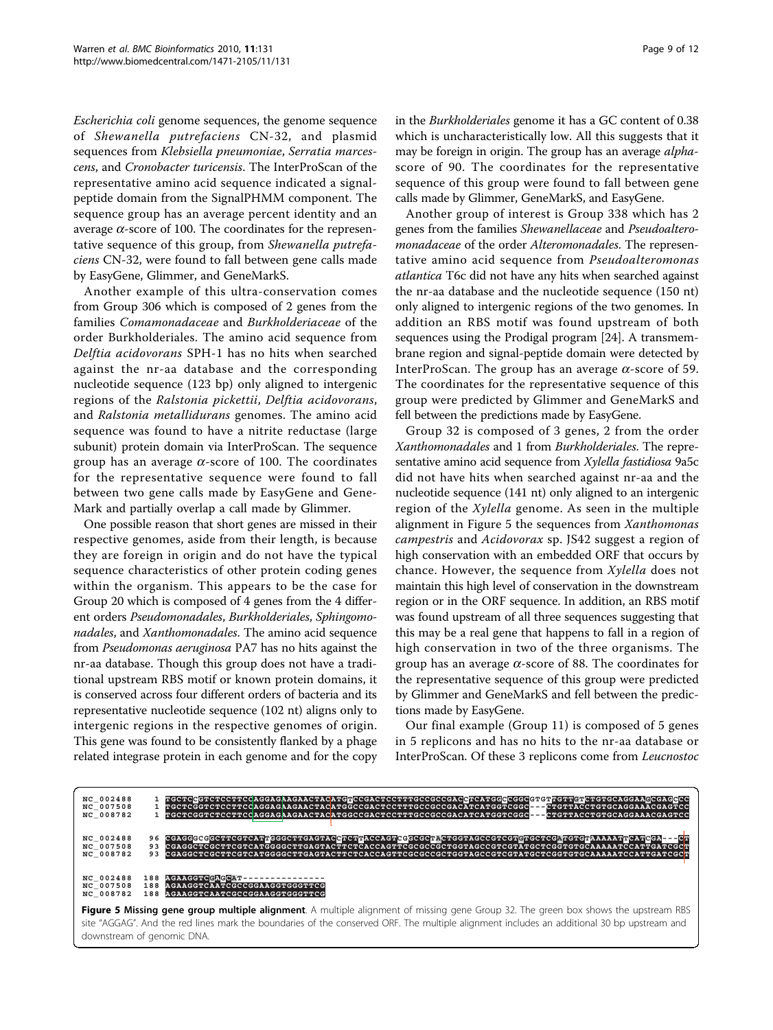<span id="page-8-0"></span>Escherichia coli genome sequences, the genome sequence of Shewanella putrefaciens CN-32, and plasmid sequences from Klebsiella pneumoniae, Serratia marcescens, and Cronobacter turicensis. The InterProScan of the representative amino acid sequence indicated a signalpeptide domain from the SignalPHMM component. The sequence group has an average percent identity and an average  $\alpha$ -score of 100. The coordinates for the representative sequence of this group, from Shewanella putrefaciens CN-32, were found to fall between gene calls made by EasyGene, Glimmer, and GeneMarkS.

Another example of this ultra-conservation comes from Group 306 which is composed of 2 genes from the families Comamonadaceae and Burkholderiaceae of the order Burkholderiales. The amino acid sequence from Delftia acidovorans SPH-1 has no hits when searched against the nr-aa database and the corresponding nucleotide sequence (123 bp) only aligned to intergenic regions of the Ralstonia pickettii, Delftia acidovorans, and Ralstonia metallidurans genomes. The amino acid sequence was found to have a nitrite reductase (large subunit) protein domain via InterProScan. The sequence group has an average  $\alpha$ -score of 100. The coordinates for the representative sequence were found to fall between two gene calls made by EasyGene and Gene-Mark and partially overlap a call made by Glimmer.

One possible reason that short genes are missed in their respective genomes, aside from their length, is because they are foreign in origin and do not have the typical sequence characteristics of other protein coding genes within the organism. This appears to be the case for Group 20 which is composed of 4 genes from the 4 different orders Pseudomonadales, Burkholderiales, Sphingomonadales, and Xanthomonadales. The amino acid sequence from Pseudomonas aeruginosa PA7 has no hits against the nr-aa database. Though this group does not have a traditional upstream RBS motif or known protein domains, it is conserved across four different orders of bacteria and its representative nucleotide sequence (102 nt) aligns only to intergenic regions in the respective genomes of origin. This gene was found to be consistently flanked by a phage related integrase protein in each genome and for the copy in the Burkholderiales genome it has a GC content of 0.38 which is uncharacteristically low. All this suggests that it may be foreign in origin. The group has an average alphascore of 90. The coordinates for the representative sequence of this group were found to fall between gene calls made by Glimmer, GeneMarkS, and EasyGene.

Another group of interest is Group 338 which has 2 genes from the families Shewanellaceae and Pseudoalteromonadaceae of the order Alteromonadales. The representative amino acid sequence from Pseudoalteromonas atlantica T6c did not have any hits when searched against the nr-aa database and the nucleotide sequence (150 nt) only aligned to intergenic regions of the two genomes. In addition an RBS motif was found upstream of both sequences using the Prodigal program [\[24](#page-11-0)]. A transmembrane region and signal-peptide domain were detected by InterProScan. The group has an average  $\alpha$ -score of 59. The coordinates for the representative sequence of this group were predicted by Glimmer and GeneMarkS and fell between the predictions made by EasyGene.

Group 32 is composed of 3 genes, 2 from the order Xanthomonadales and 1 from Burkholderiales. The representative amino acid sequence from *Xylella fastidiosa* 9a5c did not have hits when searched against nr-aa and the nucleotide sequence (141 nt) only aligned to an intergenic region of the Xylella genome. As seen in the multiple alignment in Figure 5 the sequences from Xanthomonas campestris and Acidovorax sp. JS42 suggest a region of high conservation with an embedded ORF that occurs by chance. However, the sequence from Xylella does not maintain this high level of conservation in the downstream region or in the ORF sequence. In addition, an RBS motif was found upstream of all three sequences suggesting that this may be a real gene that happens to fall in a region of high conservation in two of the three organisms. The group has an average  $\alpha$ -score of 88. The coordinates for the representative sequence of this group were predicted by Glimmer and GeneMarkS and fell between the predictions made by EasyGene.

Our final example (Group 11) is composed of 5 genes in 5 replicons and has no hits to the nr-aa database or InterProScan. Of these 3 replicons come from Leucnostoc

| NC 002488<br>NC 007508<br>NC 008782 |                | 1 TGCTCCGTCTCCTTCCAGGAGAAGAACTACATGTCCGACTCCTTTGCCGCCGACCCTCATGCCGGCGTGTTGTTCTTCCTGCAGGAACCCCC<br>L TGCTCGGTCTCCTTCCAGGAGAAGAACTACATGGCCGACTCCTTTGCCGCCGACATCATGGTCGGC<br>CTGTTACCTGTGCAGGAAACGAGTCC<br>1 TGCTCGGTCTCCTTCCAGGAGAAGAACTACATGGCCGACTCCTTTGCCGCCGACATCATGGTCGGC<br>CTGTTACCTGTGCAGGAAACGAGTCC |
|-------------------------------------|----------------|------------------------------------------------------------------------------------------------------------------------------------------------------------------------------------------------------------------------------------------------------------------------------------------------------------|
| NC 002488<br>NC 007508<br>NC 008782 | 96<br>93<br>93 | CGAGGGCGGCTTCGTCATTGGGCTTGAGTACCTCTTACCAGTCGCCCCTACTGGTAGCCGTCGTCGTCGATGTAAAAAATTCATCGA---CT<br>CGAGGCTCGCTTCGTCATGGGGCTTGAGTACTTCTCACCAGTTCGCGCCGCTGGTAGCCGTCGTATGCTCGGTGTGCAAAAATCCATTGATCGCT<br>CGAGGCTCGCTTCGTCATGGGGCTTGAGTACTTCTCACCAGTTCGCGCCGCTGGTAGCCGTCGTATGCTCGGTGTGCAAAAATCCATTGATCGCT         |
| NC 002488<br>NC 007508<br>NC 008782 | 188            | 188 AGAAGGTCGAGCAT-<br>AGAAGGTCAATCGCCGGAAGGTGGGTTCG<br>188 AGAAGGTCAATCGCCGGAAGGTGGGTTCG                                                                                                                                                                                                                  |
| downstream of genomic DNA.          |                | Figure 5 Missing gene group multiple alignment. A multiple alignment of missing gene Group 32. The green box shows the upstream RBS<br>site "AGGAG". And the red lines mark the boundaries of the conserved ORF. The multiple alignment includes an additional 30 bp upstream and                          |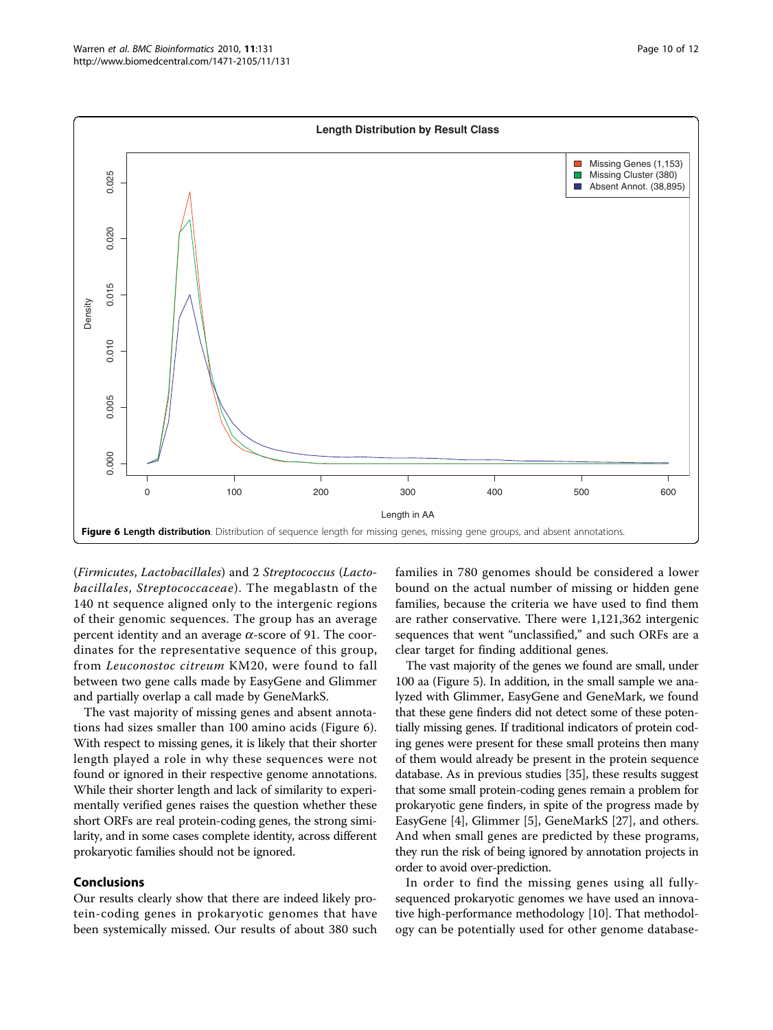

(Firmicutes, Lactobacillales) and 2 Streptococcus (Lactobacillales, Streptococcaceae). The megablastn of the 140 nt sequence aligned only to the intergenic regions of their genomic sequences. The group has an average percent identity and an average  $\alpha$ -score of 91. The coordinates for the representative sequence of this group, from Leuconostoc citreum KM20, were found to fall between two gene calls made by EasyGene and Glimmer and partially overlap a call made by GeneMarkS.

The vast majority of missing genes and absent annotations had sizes smaller than 100 amino acids (Figure 6). With respect to missing genes, it is likely that their shorter length played a role in why these sequences were not found or ignored in their respective genome annotations. While their shorter length and lack of similarity to experimentally verified genes raises the question whether these short ORFs are real protein-coding genes, the strong similarity, and in some cases complete identity, across different prokaryotic families should not be ignored.

## Conclusions

Our results clearly show that there are indeed likely protein-coding genes in prokaryotic genomes that have been systemically missed. Our results of about 380 such families in 780 genomes should be considered a lower bound on the actual number of missing or hidden gene families, because the criteria we have used to find them are rather conservative. There were 1,121,362 intergenic sequences that went "unclassified," and such ORFs are a clear target for finding additional genes.

The vast majority of the genes we found are small, under 100 aa (Figure [5](#page-8-0)). In addition, in the small sample we analyzed with Glimmer, EasyGene and GeneMark, we found that these gene finders did not detect some of these potentially missing genes. If traditional indicators of protein coding genes were present for these small proteins then many of them would already be present in the protein sequence database. As in previous studies [[35](#page-11-0)], these results suggest that some small protein-coding genes remain a problem for prokaryotic gene finders, in spite of the progress made by EasyGene [\[4](#page-10-0)], Glimmer [[5\]](#page-10-0), GeneMarkS [[27\]](#page-11-0), and others. And when small genes are predicted by these programs, they run the risk of being ignored by annotation projects in order to avoid over-prediction.

In order to find the missing genes using all fullysequenced prokaryotic genomes we have used an innovative high-performance methodology [\[10](#page-10-0)]. That methodology can be potentially used for other genome database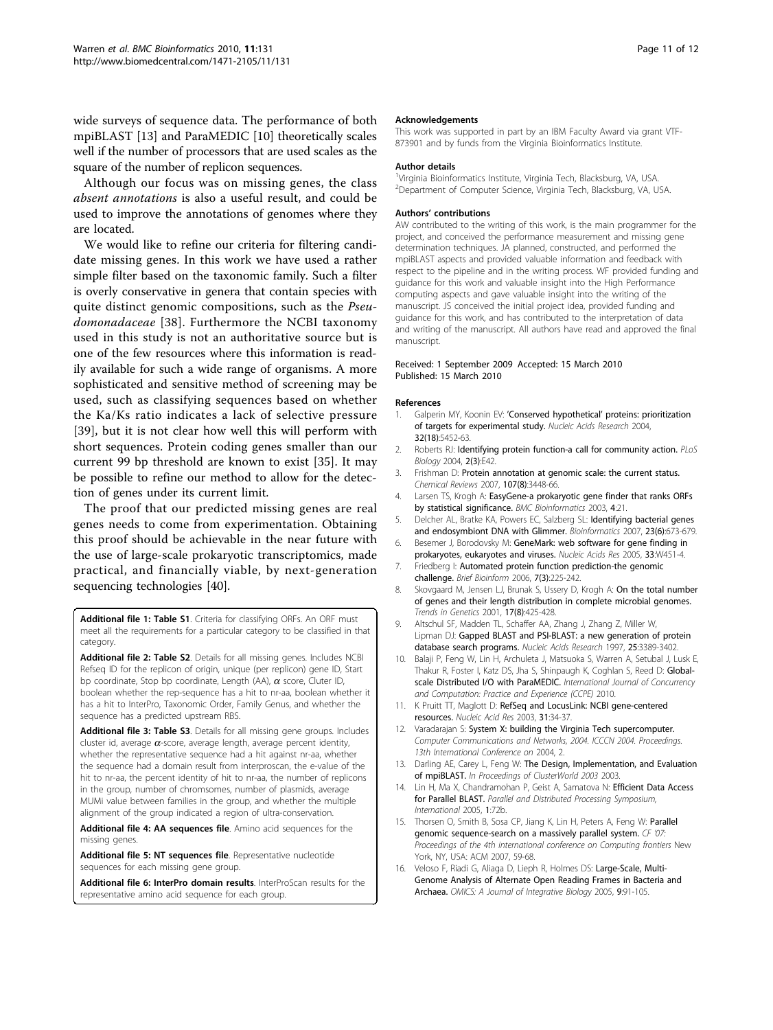<span id="page-10-0"></span>wide surveys of sequence data. The performance of both mpiBLAST [13] and ParaMEDIC [10] theoretically scales well if the number of processors that are used scales as the square of the number of replicon sequences.

Although our focus was on missing genes, the class absent annotations is also a useful result, and could be used to improve the annotations of genomes where they are located.

We would like to refine our criteria for filtering candidate missing genes. In this work we have used a rather simple filter based on the taxonomic family. Such a filter is overly conservative in genera that contain species with quite distinct genomic compositions, such as the Pseudomonadaceae [[38](#page-11-0)]. Furthermore the NCBI taxonomy used in this study is not an authoritative source but is one of the few resources where this information is readily available for such a wide range of organisms. A more sophisticated and sensitive method of screening may be used, such as classifying sequences based on whether the Ka/Ks ratio indicates a lack of selective pressure [[39](#page-11-0)], but it is not clear how well this will perform with short sequences. Protein coding genes smaller than our current 99 bp threshold are known to exist [[35\]](#page-11-0). It may be possible to refine our method to allow for the detection of genes under its current limit.

The proof that our predicted missing genes are real genes needs to come from experimentation. Obtaining this proof should be achievable in the near future with the use of large-scale prokaryotic transcriptomics, made practical, and financially viable, by next-generation sequencing technologies [\[40](#page-11-0)].

Additional file 1: Table S1. Criteria for classifying ORFs. An ORF must meet all the requirements for a particular category to be classified in that category.

Additional file 2: Table S2. Details for all missing genes. Includes NCBI Refseq ID for the replicon of origin, unique (per replicon) gene ID, Start bp coordinate, Stop bp coordinate, Length (AA),  $\alpha$  score, Cluter ID, boolean whether the rep-sequence has a hit to nr-aa, boolean whether it has a hit to InterPro, Taxonomic Order, Family Genus, and whether the sequence has a predicted upstream RBS.

Additional file 3: Table S3. Details for all missing gene groups. Includes cluster id, average  $\alpha$ -score, average length, average percent identity, whether the representative sequence had a hit against nr-aa, whether the sequence had a domain result from interproscan, the e-value of the hit to nr-aa, the percent identity of hit to nr-aa, the number of replicons in the group, number of chromsomes, number of plasmids, average MUMi value between families in the group, and whether the multiple alignment of the group indicated a region of ultra-conservation.

Additional file 4: AA sequences file. Amino acid sequences for the missing genes.

Additional file 5: NT sequences file. Representative nucleotide sequences for each missing gene group.

Additional file 6: InterPro domain results. InterProScan results for the representative amino acid sequence for each group.

#### Acknowledgements

This work was supported in part by an IBM Faculty Award via grant VTF-873901 and by funds from the Virginia Bioinformatics Institute.

#### Author details

1 Virginia Bioinformatics Institute, Virginia Tech, Blacksburg, VA, USA. 2 Department of Computer Science, Virginia Tech, Blacksburg, VA, USA.

#### Authors' contributions

AW contributed to the writing of this work, is the main programmer for the project, and conceived the performance measurement and missing gene determination techniques. JA planned, constructed, and performed the mpiBLAST aspects and provided valuable information and feedback with respect to the pipeline and in the writing process. WF provided funding and guidance for this work and valuable insight into the High Performance computing aspects and gave valuable insight into the writing of the manuscript. JS conceived the initial project idea, provided funding and guidance for this work, and has contributed to the interpretation of data and writing of the manuscript. All authors have read and approved the final manuscript.

#### Received: 1 September 2009 Accepted: 15 March 2010 Published: 15 March 2010

#### References

- 1. Galperin MY, Koonin EV: '[Conserved hypothetical](http://www.ncbi.nlm.nih.gov/pubmed/15479782?dopt=Abstract)' proteins: prioritization [of targets for experimental study.](http://www.ncbi.nlm.nih.gov/pubmed/15479782?dopt=Abstract) Nucleic Acids Research 2004, 32(18):5452-63.
- 2. Roberts RJ: [Identifying protein function-a call for community action.](http://www.ncbi.nlm.nih.gov/pubmed/15024411?dopt=Abstract) PLoS Biology 2004, 2(3):E42.
- 3. Frishman D: [Protein annotation at genomic scale: the current status.](http://www.ncbi.nlm.nih.gov/pubmed/17658902?dopt=Abstract) Chemical Reviews 2007, 107(8):3448-66.
- 4. Larsen TS, Krogh A: [EasyGene-a prokaryotic gene finder that ranks ORFs](http://www.ncbi.nlm.nih.gov/pubmed/12783628?dopt=Abstract) [by statistical significance.](http://www.ncbi.nlm.nih.gov/pubmed/12783628?dopt=Abstract) BMC Bioinformatics 2003, 4:21.
- 5. Delcher AL, Bratke KA, Powers EC, Salzberg SL: [Identifying bacterial genes](http://www.ncbi.nlm.nih.gov/pubmed/17237039?dopt=Abstract) [and endosymbiont DNA with Glimmer.](http://www.ncbi.nlm.nih.gov/pubmed/17237039?dopt=Abstract) Bioinformatics 2007, 23(6):673-679.
- Besemer J, Borodovsky M: [GeneMark: web software for gene finding in](http://www.ncbi.nlm.nih.gov/pubmed/15980510?dopt=Abstract) [prokaryotes, eukaryotes and viruses.](http://www.ncbi.nlm.nih.gov/pubmed/15980510?dopt=Abstract) Nucleic Acids Res 2005, 33:W451-4.
- 7. Friedberg I: [Automated protein function prediction-the genomic](http://www.ncbi.nlm.nih.gov/pubmed/16772267?dopt=Abstract) [challenge.](http://www.ncbi.nlm.nih.gov/pubmed/16772267?dopt=Abstract) Brief Bioinform 2006, 7(3):225-242.
- 8. Skovgaard M, Jensen LJ, Brunak S, Ussery D, Krogh A: [On the total number](http://www.ncbi.nlm.nih.gov/pubmed/11485798?dopt=Abstract) [of genes and their length distribution in complete microbial genomes.](http://www.ncbi.nlm.nih.gov/pubmed/11485798?dopt=Abstract) Trends in Genetics 2001, 17(8):425-428.
- 9. Altschul SF, Madden TL, Schaffer AA, Zhang J, Zhang Z, Miller W, Lipman DJ: [Gapped BLAST and PSI-BLAST: a new generation of protein](http://www.ncbi.nlm.nih.gov/pubmed/9254694?dopt=Abstract) [database search programs.](http://www.ncbi.nlm.nih.gov/pubmed/9254694?dopt=Abstract) Nucleic Acids Research 1997, 25:3389-3402.
- 10. Balaji P, Feng W, Lin H, Archuleta J, Matsuoka S, Warren A, Setubal J, Lusk E, Thakur R, Foster I, Katz DS, Jha S, Shinpaugh K, Coghlan S, Reed D: Globalscale Distributed I/O with ParaMEDIC. International Journal of Concurrency and Computation: Practice and Experience (CCPE) 2010.
- 11. K Pruitt TT, Maglott D: [RefSeq and LocusLink: NCBI gene-centered](http://www.ncbi.nlm.nih.gov/pubmed/12519942?dopt=Abstract) [resources.](http://www.ncbi.nlm.nih.gov/pubmed/12519942?dopt=Abstract) Nucleic Acid Res 2003, 31:34-37.
- 12. Varadarajan S: System X: building the Virginia Tech supercomputer. Computer Communications and Networks, 2004. ICCCN 2004. Proceedings. 13th International Conference on 2004, 2.
- 13. Darling AE, Carey L, Feng W: The Design, Implementation, and Evaluation of mpiBLAST. In Proceedings of ClusterWorld 2003 2003.
- 14. Lin H, Ma X, Chandramohan P, Geist A, Samatova N: Efficient Data Access for Parallel BLAST. Parallel and Distributed Processing Symposium, International 2005, 1:72b.
- 15. Thorsen O, Smith B, Sosa CP, Jiang K, Lin H, Peters A, Feng W: Parallel genomic sequence-search on a massively parallel system. CF '07: Proceedings of the 4th international conference on Computing frontiers New York, NY, USA: ACM 2007, 59-68.
- 16. Veloso F, Riadi G, Aliaga D, Lieph R, Holmes DS: [Large-Scale, Multi-](http://www.ncbi.nlm.nih.gov/pubmed/15805780?dopt=Abstract)[Genome Analysis of Alternate Open Reading Frames in Bacteria and](http://www.ncbi.nlm.nih.gov/pubmed/15805780?dopt=Abstract) [Archaea.](http://www.ncbi.nlm.nih.gov/pubmed/15805780?dopt=Abstract) OMICS: A Journal of Integrative Biology 2005, 9:91-105.